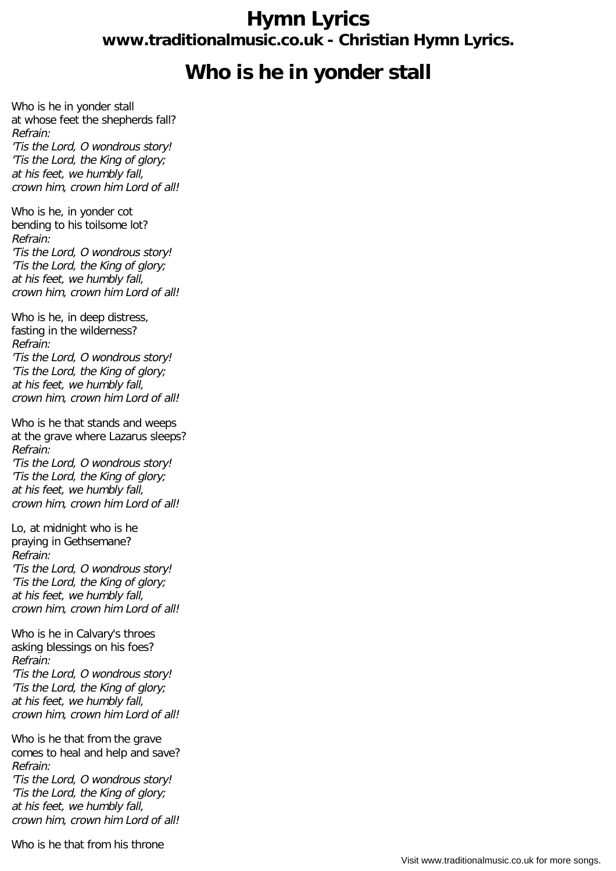## **Hymn Lyrics www.traditionalmusic.co.uk - Christian Hymn Lyrics.**

## **Who is he in yonder stall**

Who is he in yonder stall at whose feet the shepherds fall? Refrain: 'Tis the Lord, O wondrous story! 'Tis the Lord, the King of glory; at his feet, we humbly fall, crown him, crown him Lord of all!

Who is he, in yonder cot bending to his toilsome lot? Refrain: 'Tis the Lord, O wondrous story! 'Tis the Lord, the King of glory; at his feet, we humbly fall, crown him, crown him Lord of all!

Who is he, in deep distress, fasting in the wilderness? Refrain: 'Tis the Lord, O wondrous story! 'Tis the Lord, the King of glory; at his feet, we humbly fall, crown him, crown him Lord of all!

Who is he that stands and weeps at the grave where Lazarus sleeps? Refrain: 'Tis the Lord, O wondrous story! 'Tis the Lord, the King of glory; at his feet, we humbly fall, crown him, crown him Lord of all!

Lo, at midnight who is he praying in Gethsemane? Refrain: 'Tis the Lord, O wondrous story! 'Tis the Lord, the King of glory; at his feet, we humbly fall, crown him, crown him Lord of all!

Who is he in Calvary's throes asking blessings on his foes? Refrain: 'Tis the Lord, O wondrous story! 'Tis the Lord, the King of glory; at his feet, we humbly fall, crown him, crown him Lord of all!

Who is he that from the grave comes to heal and help and save? Refrain:

'Tis the Lord, O wondrous story! 'Tis the Lord, the King of glory; at his feet, we humbly fall, crown him, crown him Lord of all!

Who is he that from his throne